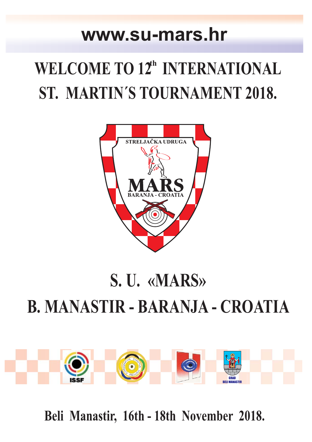### **www.su-mars.hr**

# WELCOME TO 12<sup>th</sup> INTERNATIONAL **ST. MARTIN´S TOURNAMENT 2018.**



# **S. U. «MARS» B. MANASTIR - BARANJA - CROATIA**



**Beli Manastir, 16th - 18th November 2018.**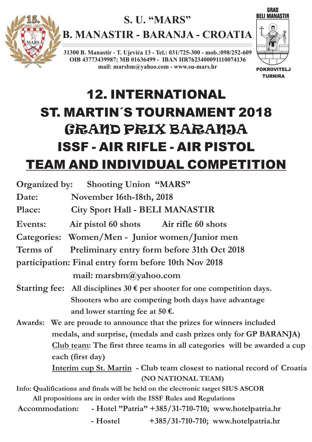

### **S. U. "MARS"**

**B. MANASTIR - BARANJA - CROATIA**

**31300 B. Manastir - T. Ujevića 13 - Tel.: 031/725-300 - mob.:098/252-609 OIB 43773439987; MB 01636499 - IBAN HR7623400091110074136 mail: marsbm@yahoo.com - www.su-mars.hr**



## 12. INTERNATIONAL ST. MARTIN´S TOURNAMENT 2018 ISSF - AIR RIFLE - AIR PISTOL GRAND PRIX BARANJA TEAM AND INDIVIDUAL COMPETITION

| <b>Organized by:</b> Shooting Union "MARS"                                           |                                           |                                     |
|--------------------------------------------------------------------------------------|-------------------------------------------|-------------------------------------|
| Date:                                                                                | November 16th-18th, 2018                  |                                     |
| Place:                                                                               | <b>City Sport Hall - BELI MANASTIR</b>    |                                     |
| Events:                                                                              | Air pistol 60 shots Air rifle 60 shots    |                                     |
| Categories: Women/Men - Junior women/Junior men                                      |                                           |                                     |
| <b>Preliminary entry form before 31th Oct 2018</b><br>Terms of                       |                                           |                                     |
| participation: Final entry form before 10th Nov 2018                                 |                                           |                                     |
| mail: marsbm $\omega$ yahoo.com                                                      |                                           |                                     |
| Starting fee: All disciplines $30 \, \epsilon$ per shooter for one competition days. |                                           |                                     |
| Shooters who are competing both days have advantage                                  |                                           |                                     |
|                                                                                      | and lower starting fee at 50 $\epsilon$ . |                                     |
| Awards: We are proude to announce that the prizes for winners included               |                                           |                                     |
| medals, and surprise, (medals and cash prizes only for GP BARANJA)                   |                                           |                                     |
| Club team: The first three teams in all categories will be awarded a cup             |                                           |                                     |
| each (first day)                                                                     |                                           |                                     |
| Interim cup St. Martin - Club team closest to national record of Croatia             |                                           |                                     |
| (NO NATIONAL TEAM)                                                                   |                                           |                                     |
| Info: Qualifications and finals will be held on the electronic target SIUS ASCOR     |                                           |                                     |
| All propositions are in order with the ISSF Rules and Regulations                    |                                           |                                     |
| - Hotel "Patria" +385/31-710-710; www.hotelpatria.hr<br>Accommodation:               |                                           |                                     |
|                                                                                      | - Hostel                                  | +385/31-710-710; www.hotelpatria.hr |